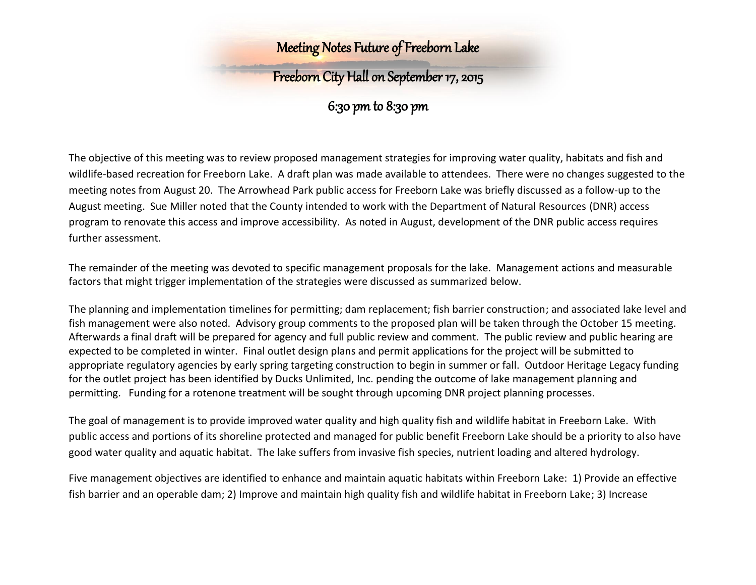## Freeborn City Hall on September 17, 2015

### 6:30 pm to 8:30 pm

The objective of this meeting was to review proposed management strategies for improving water quality, habitats and fish and wildlife-based recreation for Freeborn Lake. A draft plan was made available to attendees. There were no changes suggested to the meeting notes from August 20. The Arrowhead Park public access for Freeborn Lake was briefly discussed as a follow-up to the August meeting. Sue Miller noted that the County intended to work with the Department of Natural Resources (DNR) access program to renovate this access and improve accessibility. As noted in August, development of the DNR public access requires further assessment.

The remainder of the meeting was devoted to specific management proposals for the lake. Management actions and measurable factors that might trigger implementation of the strategies were discussed as summarized below.

The planning and implementation timelines for permitting; dam replacement; fish barrier construction; and associated lake level and fish management were also noted. Advisory group comments to the proposed plan will be taken through the October 15 meeting. Afterwards a final draft will be prepared for agency and full public review and comment. The public review and public hearing are expected to be completed in winter. Final outlet design plans and permit applications for the project will be submitted to appropriate regulatory agencies by early spring targeting construction to begin in summer or fall. Outdoor Heritage Legacy funding for the outlet project has been identified by Ducks Unlimited, Inc. pending the outcome of lake management planning and permitting. Funding for a rotenone treatment will be sought through upcoming DNR project planning processes.

The goal of management is to provide improved water quality and high quality fish and wildlife habitat in Freeborn Lake. With public access and portions of its shoreline protected and managed for public benefit Freeborn Lake should be a priority to also have good water quality and aquatic habitat. The lake suffers from invasive fish species, nutrient loading and altered hydrology.

Five management objectives are identified to enhance and maintain aquatic habitats within Freeborn Lake: 1) Provide an effective fish barrier and an operable dam; 2) Improve and maintain high quality fish and wildlife habitat in Freeborn Lake; 3) Increase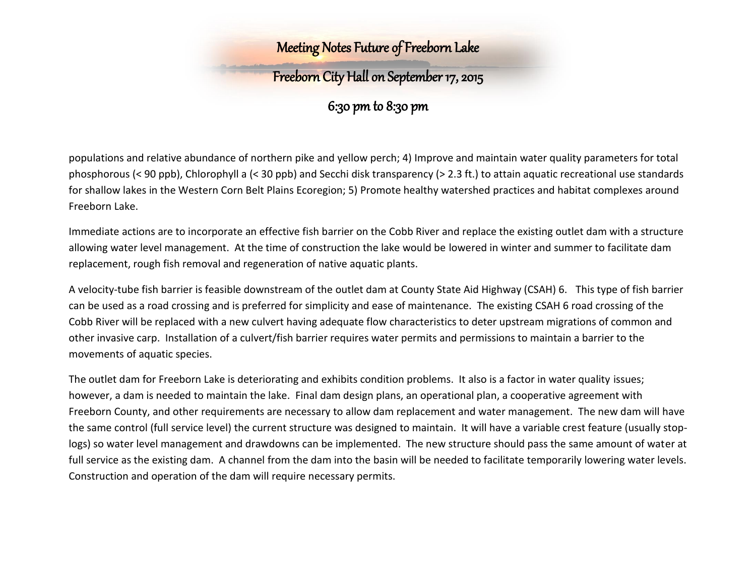## Freeborn City Hall on September 17, 2015

6:30 pm to 8:30 pm

populations and relative abundance of northern pike and yellow perch; 4) Improve and maintain water quality parameters for total phosphorous (< 90 ppb), Chlorophyll a (< 30 ppb) and Secchi disk transparency (> 2.3 ft.) to attain aquatic recreational use standards for shallow lakes in the Western Corn Belt Plains Ecoregion; 5) Promote healthy watershed practices and habitat complexes around Freeborn Lake.

Immediate actions are to incorporate an effective fish barrier on the Cobb River and replace the existing outlet dam with a structure allowing water level management. At the time of construction the lake would be lowered in winter and summer to facilitate dam replacement, rough fish removal and regeneration of native aquatic plants.

A velocity-tube fish barrier is feasible downstream of the outlet dam at County State Aid Highway (CSAH) 6. This type of fish barrier can be used as a road crossing and is preferred for simplicity and ease of maintenance. The existing CSAH 6 road crossing of the Cobb River will be replaced with a new culvert having adequate flow characteristics to deter upstream migrations of common and other invasive carp. Installation of a culvert/fish barrier requires water permits and permissions to maintain a barrier to the movements of aquatic species.

The outlet dam for Freeborn Lake is deteriorating and exhibits condition problems. It also is a factor in water quality issues; however, a dam is needed to maintain the lake. Final dam design plans, an operational plan, a cooperative agreement with Freeborn County, and other requirements are necessary to allow dam replacement and water management. The new dam will have the same control (full service level) the current structure was designed to maintain. It will have a variable crest feature (usually stoplogs) so water level management and drawdowns can be implemented. The new structure should pass the same amount of water at full service as the existing dam. A channel from the dam into the basin will be needed to facilitate temporarily lowering water levels. Construction and operation of the dam will require necessary permits.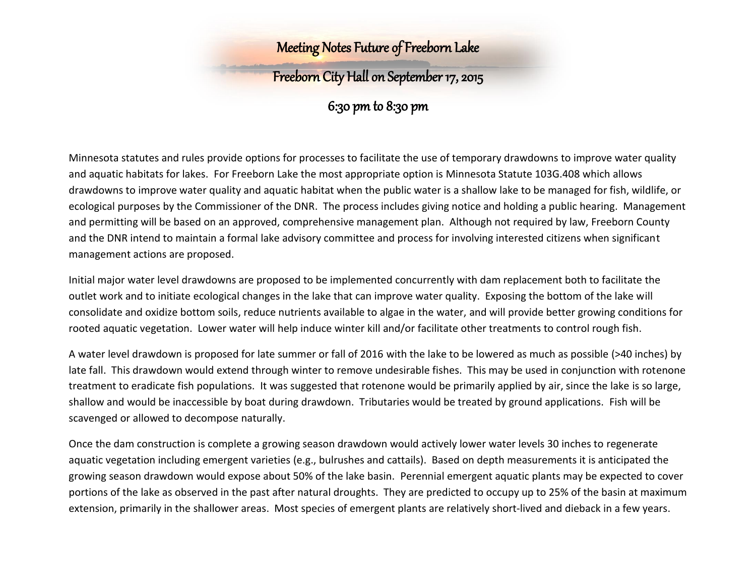## Freeborn City Hall on September 17, 2015

6:30 pm to 8:30 pm

Minnesota statutes and rules provide options for processes to facilitate the use of temporary drawdowns to improve water quality and aquatic habitats for lakes. For Freeborn Lake the most appropriate option is Minnesota Statute 103G.408 which allows drawdowns to improve water quality and aquatic habitat when the public water is a shallow lake to be managed for fish, wildlife, or ecological purposes by the Commissioner of the DNR. The process includes giving notice and holding a public hearing. Management and permitting will be based on an approved, comprehensive management plan. Although not required by law, Freeborn County and the DNR intend to maintain a formal lake advisory committee and process for involving interested citizens when significant management actions are proposed.

Initial major water level drawdowns are proposed to be implemented concurrently with dam replacement both to facilitate the outlet work and to initiate ecological changes in the lake that can improve water quality. Exposing the bottom of the lake will consolidate and oxidize bottom soils, reduce nutrients available to algae in the water, and will provide better growing conditions for rooted aquatic vegetation. Lower water will help induce winter kill and/or facilitate other treatments to control rough fish.

A water level drawdown is proposed for late summer or fall of 2016 with the lake to be lowered as much as possible (>40 inches) by late fall. This drawdown would extend through winter to remove undesirable fishes. This may be used in conjunction with rotenone treatment to eradicate fish populations. It was suggested that rotenone would be primarily applied by air, since the lake is so large, shallow and would be inaccessible by boat during drawdown. Tributaries would be treated by ground applications. Fish will be scavenged or allowed to decompose naturally.

Once the dam construction is complete a growing season drawdown would actively lower water levels 30 inches to regenerate aquatic vegetation including emergent varieties (e.g., bulrushes and cattails). Based on depth measurements it is anticipated the growing season drawdown would expose about 50% of the lake basin. Perennial emergent aquatic plants may be expected to cover portions of the lake as observed in the past after natural droughts. They are predicted to occupy up to 25% of the basin at maximum extension, primarily in the shallower areas. Most species of emergent plants are relatively short-lived and dieback in a few years.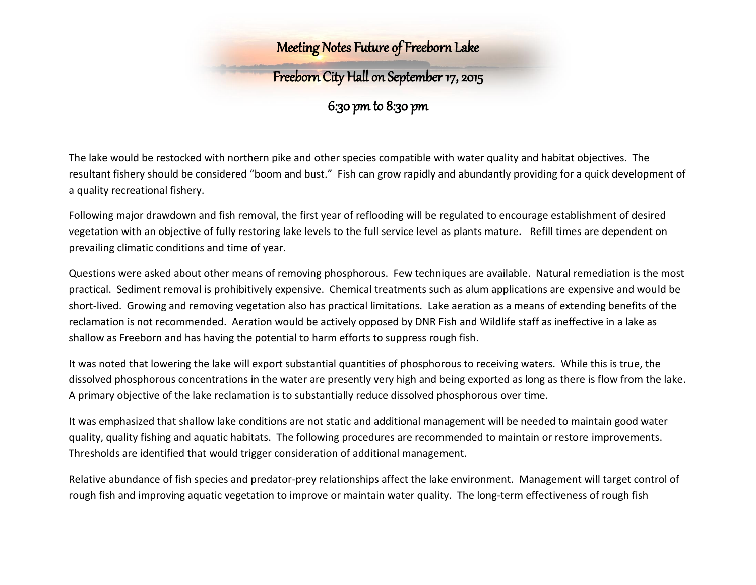## Freeborn City Hall on September 17, 2015

6:30 pm to 8:30 pm

The lake would be restocked with northern pike and other species compatible with water quality and habitat objectives. The resultant fishery should be considered "boom and bust." Fish can grow rapidly and abundantly providing for a quick development of a quality recreational fishery.

Following major drawdown and fish removal, the first year of reflooding will be regulated to encourage establishment of desired vegetation with an objective of fully restoring lake levels to the full service level as plants mature. Refill times are dependent on prevailing climatic conditions and time of year.

Questions were asked about other means of removing phosphorous. Few techniques are available. Natural remediation is the most practical. Sediment removal is prohibitively expensive. Chemical treatments such as alum applications are expensive and would be short-lived. Growing and removing vegetation also has practical limitations. Lake aeration as a means of extending benefits of the reclamation is not recommended. Aeration would be actively opposed by DNR Fish and Wildlife staff as ineffective in a lake as shallow as Freeborn and has having the potential to harm efforts to suppress rough fish.

It was noted that lowering the lake will export substantial quantities of phosphorous to receiving waters. While this is true, the dissolved phosphorous concentrations in the water are presently very high and being exported as long as there is flow from the lake. A primary objective of the lake reclamation is to substantially reduce dissolved phosphorous over time.

It was emphasized that shallow lake conditions are not static and additional management will be needed to maintain good water quality, quality fishing and aquatic habitats. The following procedures are recommended to maintain or restore improvements. Thresholds are identified that would trigger consideration of additional management.

Relative abundance of fish species and predator-prey relationships affect the lake environment. Management will target control of rough fish and improving aquatic vegetation to improve or maintain water quality. The long-term effectiveness of rough fish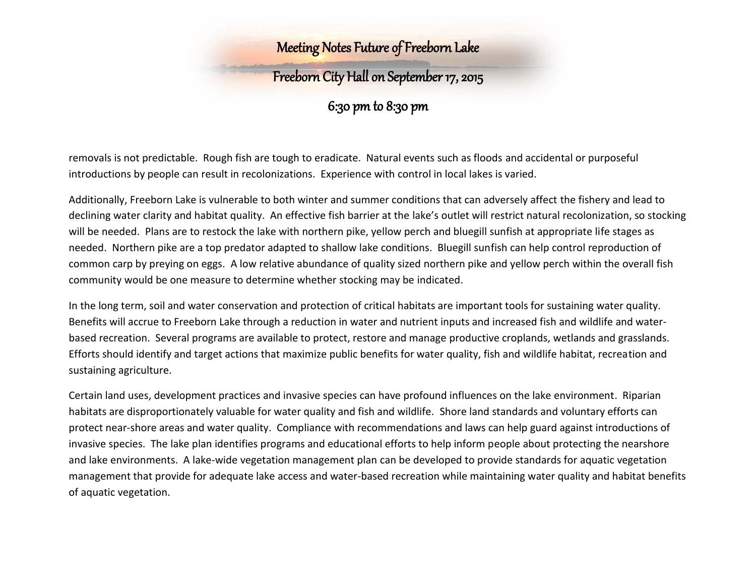## Freeborn City Hall on September 17, 2015

6:30 pm to 8:30 pm

removals is not predictable. Rough fish are tough to eradicate. Natural events such as floods and accidental or purposeful introductions by people can result in recolonizations. Experience with control in local lakes is varied.

Additionally, Freeborn Lake is vulnerable to both winter and summer conditions that can adversely affect the fishery and lead to declining water clarity and habitat quality. An effective fish barrier at the lake's outlet will restrict natural recolonization, so stocking will be needed. Plans are to restock the lake with northern pike, yellow perch and bluegill sunfish at appropriate life stages as needed. Northern pike are a top predator adapted to shallow lake conditions. Bluegill sunfish can help control reproduction of common carp by preying on eggs. A low relative abundance of quality sized northern pike and yellow perch within the overall fish community would be one measure to determine whether stocking may be indicated.

In the long term, soil and water conservation and protection of critical habitats are important tools for sustaining water quality. Benefits will accrue to Freeborn Lake through a reduction in water and nutrient inputs and increased fish and wildlife and waterbased recreation. Several programs are available to protect, restore and manage productive croplands, wetlands and grasslands. Efforts should identify and target actions that maximize public benefits for water quality, fish and wildlife habitat, recreation and sustaining agriculture.

Certain land uses, development practices and invasive species can have profound influences on the lake environment. Riparian habitats are disproportionately valuable for water quality and fish and wildlife. Shore land standards and voluntary efforts can protect near-shore areas and water quality. Compliance with recommendations and laws can help guard against introductions of invasive species. The lake plan identifies programs and educational efforts to help inform people about protecting the nearshore and lake environments. A lake-wide vegetation management plan can be developed to provide standards for aquatic vegetation management that provide for adequate lake access and water-based recreation while maintaining water quality and habitat benefits of aquatic vegetation.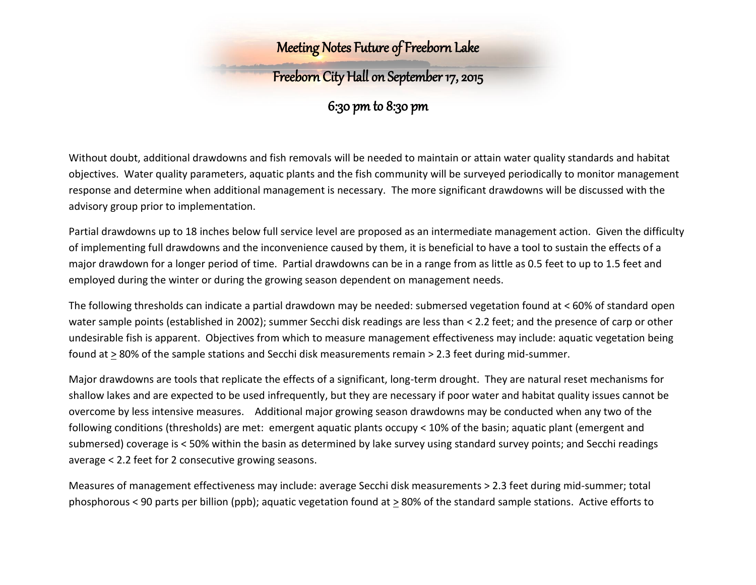# Freeborn City Hall on September 17, 2015

6:30 pm to 8:30 pm

Without doubt, additional drawdowns and fish removals will be needed to maintain or attain water quality standards and habitat objectives. Water quality parameters, aquatic plants and the fish community will be surveyed periodically to monitor management response and determine when additional management is necessary. The more significant drawdowns will be discussed with the advisory group prior to implementation.

Partial drawdowns up to 18 inches below full service level are proposed as an intermediate management action. Given the difficulty of implementing full drawdowns and the inconvenience caused by them, it is beneficial to have a tool to sustain the effects of a major drawdown for a longer period of time. Partial drawdowns can be in a range from as little as 0.5 feet to up to 1.5 feet and employed during the winter or during the growing season dependent on management needs.

The following thresholds can indicate a partial drawdown may be needed: submersed vegetation found at < 60% of standard open water sample points (established in 2002); summer Secchi disk readings are less than < 2.2 feet; and the presence of carp or other undesirable fish is apparent. Objectives from which to measure management effectiveness may include: aquatic vegetation being found at > 80% of the sample stations and Secchi disk measurements remain > 2.3 feet during mid-summer.

Major drawdowns are tools that replicate the effects of a significant, long-term drought. They are natural reset mechanisms for shallow lakes and are expected to be used infrequently, but they are necessary if poor water and habitat quality issues cannot be overcome by less intensive measures. Additional major growing season drawdowns may be conducted when any two of the following conditions (thresholds) are met: emergent aquatic plants occupy < 10% of the basin; aquatic plant (emergent and submersed) coverage is < 50% within the basin as determined by lake survey using standard survey points; and Secchi readings average < 2.2 feet for 2 consecutive growing seasons.

Measures of management effectiveness may include: average Secchi disk measurements > 2.3 feet during mid-summer; total phosphorous < 90 parts per billion (ppb); aquatic vegetation found at > 80% of the standard sample stations. Active efforts to